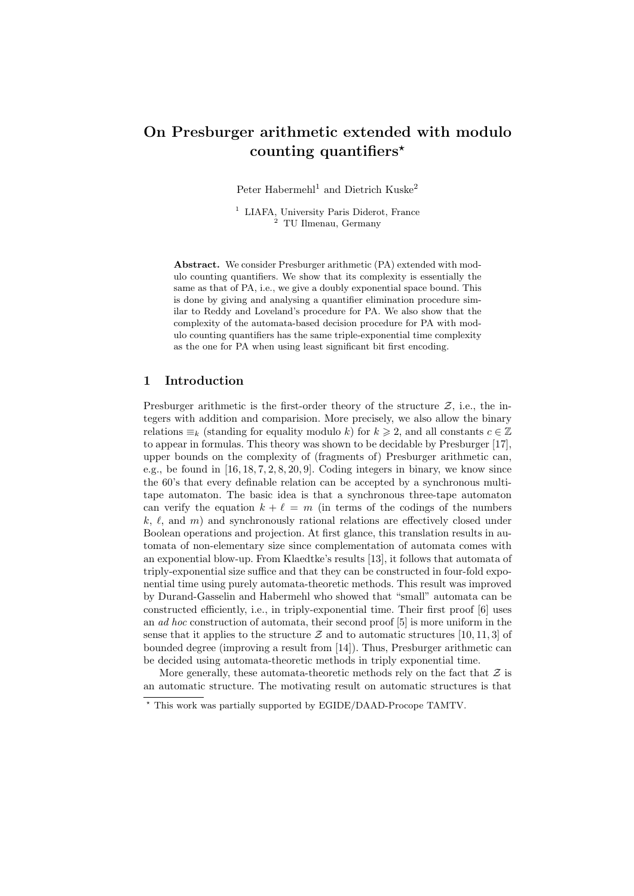# On Presburger arithmetic extended with modulo counting quantifiers<sup> $\star$ </sup>

Peter Habermehl<sup>1</sup> and Dietrich Kuske<sup>2</sup>

<sup>1</sup> LIAFA, University Paris Diderot, France  $2^2$  TU Ilmenau, Germany

Abstract. We consider Presburger arithmetic (PA) extended with modulo counting quantifiers. We show that its complexity is essentially the same as that of PA, i.e., we give a doubly exponential space bound. This is done by giving and analysing a quantifier elimination procedure similar to Reddy and Loveland's procedure for PA. We also show that the complexity of the automata-based decision procedure for PA with modulo counting quantifiers has the same triple-exponential time complexity as the one for PA when using least significant bit first encoding.

## 1 Introduction

Presburger arithmetic is the first-order theory of the structure  $\mathcal{Z}$ , i.e., the integers with addition and comparision. More precisely, we also allow the binary relations  $\equiv_k$  (standing for equality modulo k) for  $k \geq 2$ , and all constants  $c \in \mathbb{Z}$ to appear in formulas. This theory was shown to be decidable by Presburger [17], upper bounds on the complexity of (fragments of) Presburger arithmetic can, e.g., be found in  $[16, 18, 7, 2, 8, 20, 9]$ . Coding integers in binary, we know since the 60's that every definable relation can be accepted by a synchronous multitape automaton. The basic idea is that a synchronous three-tape automaton can verify the equation  $k + \ell = m$  (in terms of the codings of the numbers k,  $\ell$ , and m) and synchronously rational relations are effectively closed under Boolean operations and projection. At first glance, this translation results in automata of non-elementary size since complementation of automata comes with an exponential blow-up. From Klaedtke's results [13], it follows that automata of triply-exponential size suffice and that they can be constructed in four-fold exponential time using purely automata-theoretic methods. This result was improved by Durand-Gasselin and Habermehl who showed that "small" automata can be constructed efficiently, i.e., in triply-exponential time. Their first proof [6] uses an ad hoc construction of automata, their second proof [5] is more uniform in the sense that it applies to the structure  $\mathcal Z$  and to automatic structures [10, 11, 3] of bounded degree (improving a result from [14]). Thus, Presburger arithmetic can be decided using automata-theoretic methods in triply exponential time.

More generally, these automata-theoretic methods rely on the fact that  $\mathcal Z$  is an automatic structure. The motivating result on automatic structures is that

<sup>?</sup> This work was partially supported by EGIDE/DAAD-Procope TAMTV.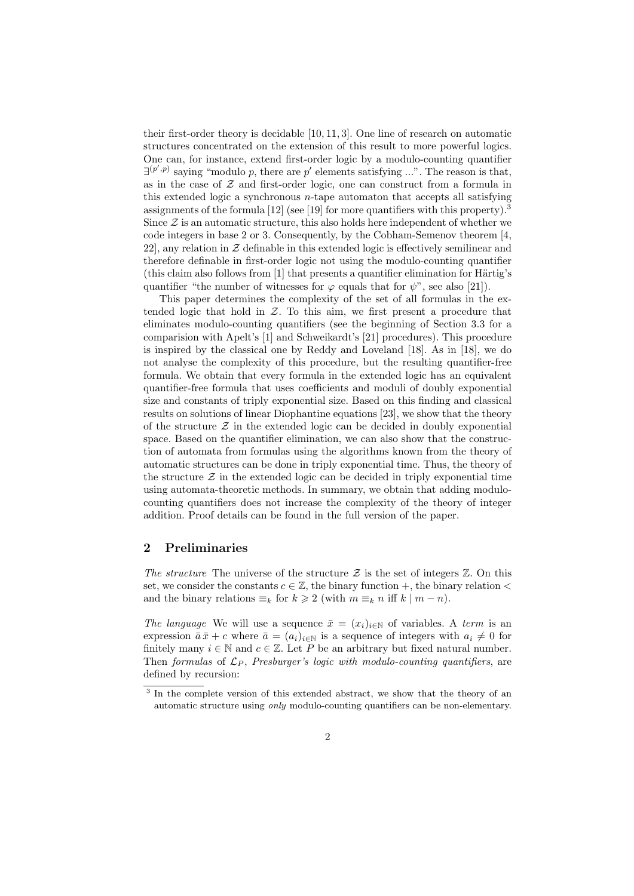their first-order theory is decidable [10, 11, 3]. One line of research on automatic structures concentrated on the extension of this result to more powerful logics. One can, for instance, extend first-order logic by a modulo-counting quantifier  $\exists^{(p',p)}$  saying "modulo p, there are p' elements satisfying ...". The reason is that, as in the case of  $Z$  and first-order logic, one can construct from a formula in this extended logic a synchronous  $n$ -tape automaton that accepts all satisfying assignments of the formula  $[12]$  (see  $[19]$  for more quantifiers with this property).<sup>3</sup> Since  $\mathcal Z$  is an automatic structure, this also holds here independent of whether we code integers in base 2 or 3. Consequently, by the Cobham-Semenov theorem [4, 22, any relation in  $Z$  definable in this extended logic is effectively semilinear and therefore definable in first-order logic not using the modulo-counting quantifier (this claim also follows from  $[1]$  that presents a quantifier elimination for Härtig's quantifier "the number of witnesses for  $\varphi$  equals that for  $\psi$ ", see also [21]).

This paper determines the complexity of the set of all formulas in the extended logic that hold in  $Z$ . To this aim, we first present a procedure that eliminates modulo-counting quantifiers (see the beginning of Section 3.3 for a comparision with Apelt's [1] and Schweikardt's [21] procedures). This procedure is inspired by the classical one by Reddy and Loveland [18]. As in [18], we do not analyse the complexity of this procedure, but the resulting quantifier-free formula. We obtain that every formula in the extended logic has an equivalent quantifier-free formula that uses coefficients and moduli of doubly exponential size and constants of triply exponential size. Based on this finding and classical results on solutions of linear Diophantine equations [23], we show that the theory of the structure  $\mathcal Z$  in the extended logic can be decided in doubly exponential space. Based on the quantifier elimination, we can also show that the construction of automata from formulas using the algorithms known from the theory of automatic structures can be done in triply exponential time. Thus, the theory of the structure  $\mathcal Z$  in the extended logic can be decided in triply exponential time using automata-theoretic methods. In summary, we obtain that adding modulocounting quantifiers does not increase the complexity of the theory of integer addition. Proof details can be found in the full version of the paper.

## 2 Preliminaries

The structure The universe of the structure  $\mathcal Z$  is the set of integers  $\mathbb Z$ . On this set, we consider the constants  $c \in \mathbb{Z}$ , the binary function +, the binary relation < and the binary relations  $\equiv_k$  for  $k \geq 2$  (with  $m \equiv_k n$  iff  $k \mid m-n$ ).

The language We will use a sequence  $\bar{x} = (x_i)_{i \in \mathbb{N}}$  of variables. A term is an expression  $\bar{a}\bar{x}+c$  where  $\bar{a}=(a_i)_{i\in\mathbb{N}}$  is a sequence of integers with  $a_i\neq 0$  for finitely many  $i \in \mathbb{N}$  and  $c \in \mathbb{Z}$ . Let P be an arbitrary but fixed natural number. Then formulas of  $\mathcal{L}_P$ , Presburger's logic with modulo-counting quantifiers, are defined by recursion:

<sup>&</sup>lt;sup>3</sup> In the complete version of this extended abstract, we show that the theory of an automatic structure using only modulo-counting quantifiers can be non-elementary.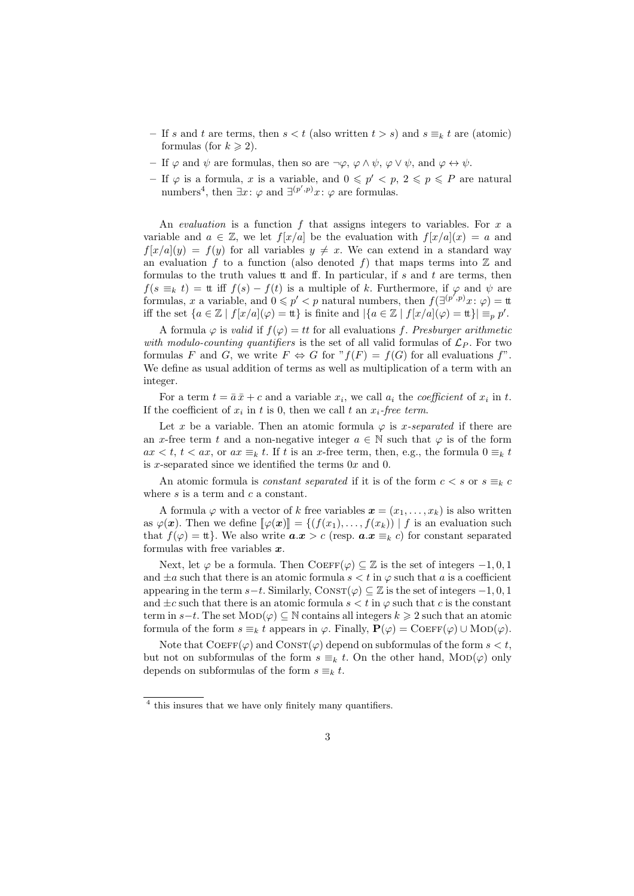- If s and t are terms, then  $s < t$  (also written  $t > s$ ) and  $s \equiv_k t$  are (atomic) formulas (for  $k \geq 2$ ).
- If  $\varphi$  and  $\psi$  are formulas, then so are  $\neg \varphi$ ,  $\varphi \wedge \psi$ ,  $\varphi \vee \psi$ , and  $\varphi \leftrightarrow \psi$ .
- If  $\varphi$  is a formula, x is a variable, and  $0 \leqslant p' < p$ ,  $2 \leqslant p \leqslant P$  are natural numbers<sup>4</sup>, then  $\exists x: \varphi$  and  $\exists^{(p',p)}x: \varphi$  are formulas.

An *evaluation* is a function  $f$  that assigns integers to variables. For  $x$  a variable and  $a \in \mathbb{Z}$ , we let  $f[x/a]$  be the evaluation with  $f[x/a](x) = a$  and  $f[x/a](y) = f(y)$  for all variables  $y \neq x$ . We can extend in a standard way an evaluation f to a function (also denoted f) that maps terms into  $\mathbb Z$  and formulas to the truth values  $t$  and  $f$ . In particular, if  $s$  and  $t$  are terms, then  $f(s \equiv_k t) =$ tt iff  $f(s) - f(t)$  is a multiple of k. Furthermore, if  $\varphi$  and  $\psi$  are formulas, x a variable, and  $0 \leq p' < p$  natural numbers, then  $f(\exists^{(p',p)}x:\varphi) = \text{t}$ iff the set  $\{a \in \mathbb{Z} \mid f[x/a](\varphi) = \mathfrak{t}\}\$ is finite and  $|\{a \in \mathbb{Z} \mid f[x/a](\varphi) = \mathfrak{t}\}| \equiv_p p'.$ 

A formula  $\varphi$  is valid if  $f(\varphi) = tt$  for all evaluations f. Presburger arithmetic with modulo-counting quantifiers is the set of all valid formulas of  $\mathcal{L}_P$ . For two formulas F and G, we write  $F \Leftrightarrow G$  for  $"f(F) = f(G)$  for all evaluations f". We define as usual addition of terms as well as multiplication of a term with an integer.

For a term  $t = \bar{a}\bar{x} + c$  and a variable  $x_i$ , we call  $a_i$  the *coefficient* of  $x_i$  in t. If the coefficient of  $x_i$  in t is 0, then we call t an  $x_i$ -free term.

Let x be a variable. Then an atomic formula  $\varphi$  is x-separated if there are an x-free term t and a non-negative integer  $a \in \mathbb{N}$  such that  $\varphi$  is of the form  $ax < t, t < ax$ , or  $ax \equiv_k t$ . If t is an x-free term, then, e.g., the formula  $0 \equiv_k t$ is x-separated since we identified the terms  $0x$  and  $0$ .

An atomic formula is *constant separated* if it is of the form  $c < s$  or  $s \equiv_k c$ where  $s$  is a term and  $c$  a constant.

A formula  $\varphi$  with a vector of k free variables  $\mathbf{x} = (x_1, \ldots, x_k)$  is also written as  $\varphi(\bm{x})$ . Then we define  $[\![\varphi(\bm{x})]\!] = \{(f(x_1), \ldots, f(x_k)) \mid f \text{ is an evaluation such} \}$ that  $f(\varphi) = \text{tt}$ . We also write  $a \cdot x > c$  (resp.  $a \cdot x \equiv_k c$ ) for constant separated formulas with free variables  $x$ .

Next, let  $\varphi$  be a formula. Then COEFF( $\varphi$ )  $\subseteq \mathbb{Z}$  is the set of integers -1, 0, 1 and  $\pm a$  such that there is an atomic formula  $s < t$  in  $\varphi$  such that a is a coefficient appearing in the term s−t. Similarly, CONST( $\varphi$ )  $\subset \mathbb{Z}$  is the set of integers -1, 0, 1 and  $\pm c$  such that there is an atomic formula  $s < t$  in  $\varphi$  such that c is the constant term in  $s-t$ . The set  $\text{MOD}(\varphi) \subseteq \mathbb{N}$  contains all integers  $k \geq 2$  such that an atomic formula of the form  $s \equiv_k t$  appears in  $\varphi$ . Finally,  $\mathbf{P}(\varphi) = \mathrm{CoEFF}(\varphi) \cup \mathrm{MOD}(\varphi)$ .

Note that  $\text{CoEFF}(\varphi)$  and  $\text{Constr}(\varphi)$  depend on subformulas of the form  $s < t$ , but not on subformulas of the form  $s \equiv_k t$ . On the other hand, MOD( $\varphi$ ) only depends on subformulas of the form  $s \equiv_k t$ .

<sup>&</sup>lt;sup>4</sup> this insures that we have only finitely many quantifiers.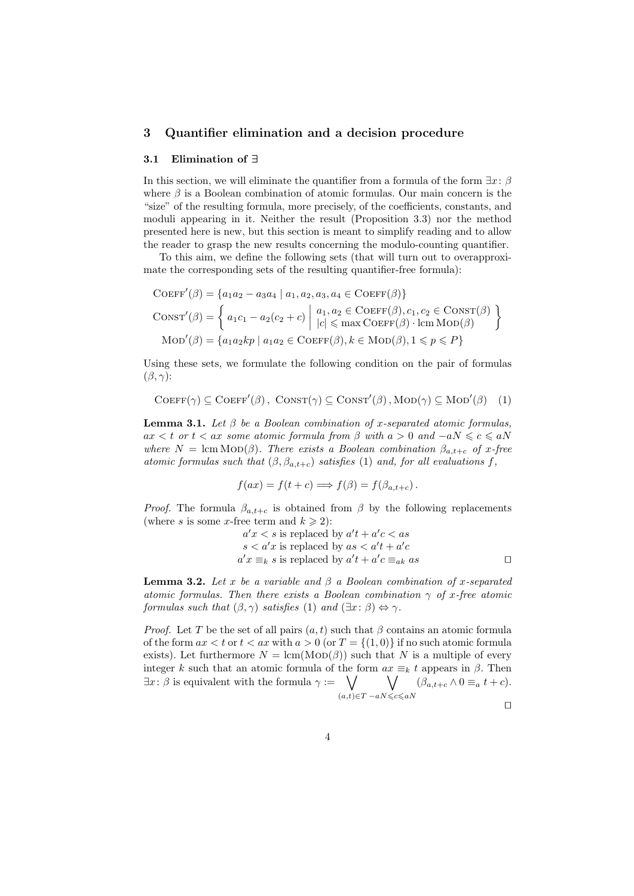## 3 Quantifier elimination and a decision procedure

#### 3.1 Elimination of ∃

In this section, we will eliminate the quantifier from a formula of the form  $\exists x:\beta$ where  $\beta$  is a Boolean combination of atomic formulas. Our main concern is the "size" of the resulting formula, more precisely, of the coefficients, constants, and moduli appearing in it. Neither the result (Proposition 3.3) nor the method presented here is new, but this section is meant to simplify reading and to allow the reader to grasp the new results concerning the modulo-counting quantifier.

To this aim, we define the following sets (that will turn out to overapproximate the corresponding sets of the resulting quantifier-free formula):

$$
COEFF'(\beta) = \{a_1a_2 - a_3a_4 \mid a_1, a_2, a_3, a_4 \in COEFF(\beta)\}
$$

$$
CONST'(\beta) = \left\{ a_1c_1 - a_2(c_2 + c) \mid \begin{array}{l} a_1, a_2 \in COEFF(\beta), c_1, c_2 \in CONST(\beta) \\ |c| \le \max COEFF(\beta) \cdot \operatorname{lcm} \operatorname{MOD}(\beta) \end{array} \right\}
$$

$$
\operatorname{MOD}'(\beta) = \left\{ a_1a_2kp \mid a_1a_2 \in COEFF(\beta), k \in \operatorname{MOD}(\beta), 1 \le p \le P \right\}
$$

Using these sets, we formulate the following condition on the pair of formulas  $(\beta, \gamma)$ :

$$
COEFF(\gamma) \subseteq COEFF'(\beta), \text{ ConvST}(\gamma) \subseteq \text{ConvST}'(\beta), \text{MOD}(\gamma) \subseteq \text{MOD}'(\beta) \quad (1)
$$

**Lemma 3.1.** Let  $\beta$  be a Boolean combination of x-separated atomic formulas,  $ax < t$  or  $t < ax$  some atomic formula from  $\beta$  with  $a > 0$  and  $-aN \leqslant c \leqslant aN$ where  $N = \text{lcm } \text{MOD}(\beta)$ . There exists a Boolean combination  $\beta_{a,t+c}$  of x-free atomic formulas such that  $(\beta, \beta_{a,t+c})$  satisfies (1) and, for all evaluations f,

$$
f(ax) = f(t + c) \Longrightarrow f(\beta) = f(\beta_{a,t+c}).
$$

*Proof.* The formula  $\beta_{a,t+c}$  is obtained from  $\beta$  by the following replacements (where s is some x-free term and  $k \geq 2$ ):

$$
a'x < s
$$
 is replaced by 
$$
a't + a'c < as
$$

$$
s < a'x
$$
 is replaced by 
$$
as < a't + a'c
$$

$$
a'x \equiv_k s
$$
 is replaced by 
$$
a't + a'c \equiv_{ak} as
$$

**Lemma 3.2.** Let x be a variable and  $\beta$  a Boolean combination of x-separated atomic formulas. Then there exists a Boolean combination  $\gamma$  of x-free atomic formulas such that  $(\beta, \gamma)$  satisfies (1) and  $(\exists x : \beta) \Leftrightarrow \gamma$ .

*Proof.* Let T be the set of all pairs  $(a, t)$  such that  $\beta$  contains an atomic formula of the form  $ax < t$  or  $t < ax$  with  $a > 0$  (or  $T = \{(1,0)\}\$ if no such atomic formula exists). Let furthermore  $N = \text{lcm}(\text{MOD}(\beta))$  such that N is a multiple of every integer k such that an atomic formula of the form  $ax \equiv_k t$  appears in  $\beta$ . Then  $\exists x \colon \beta$  is equivalent with the formula  $\gamma := \bigvee$  $(a,t) \in T$  $\setminus$  $-aN{\leqslant}c{\leqslant}aN$  $(\beta_{a,t+c} \wedge 0 \equiv_a t+c).$ 

 $\Box$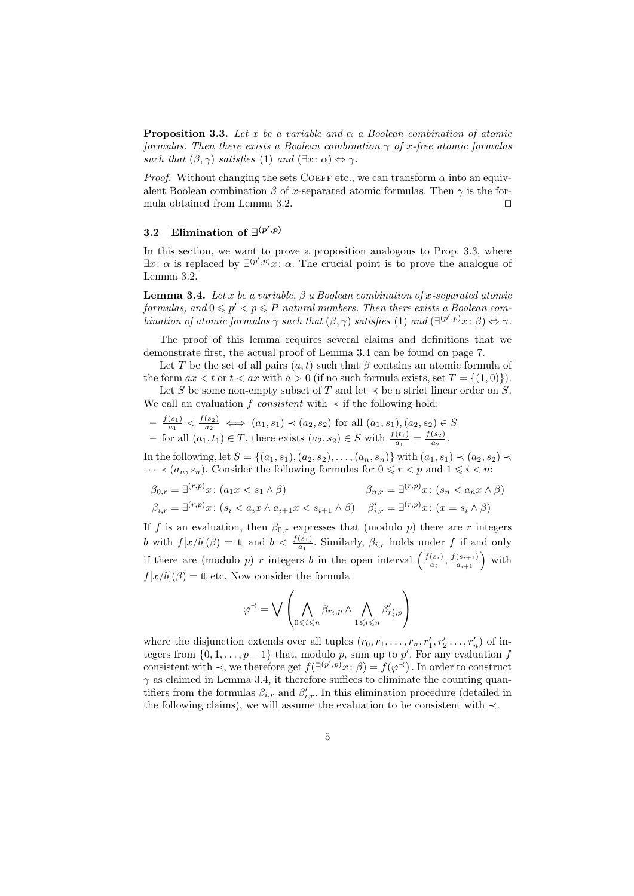**Proposition 3.3.** Let x be a variable and  $\alpha$  a Boolean combination of atomic formulas. Then there exists a Boolean combination  $\gamma$  of x-free atomic formulas such that  $(\beta, \gamma)$  satisfies (1) and  $(\exists x : \alpha) \Leftrightarrow \gamma$ .

*Proof.* Without changing the sets COEFF etc., we can transform  $\alpha$  into an equivalent Boolean combination  $\beta$  of x-separated atomic formulas. Then  $\gamma$  is the formula obtained from Lemma 3.2.  $\Box$ 

## 3.2 Elimination of  $\exists^{(p',p)}$

In this section, we want to prove a proposition analogous to Prop. 3.3, where  $\exists x \colon \alpha$  is replaced by  $\exists^{(p',p)} x \colon \alpha$ . The crucial point is to prove the analogue of Lemma 3.2.

**Lemma 3.4.** Let x be a variable,  $\beta$  a Boolean combination of x-separated atomic formulas, and  $0 \leq p' < p \leq P$  natural numbers. Then there exists a Boolean combination of atomic formulas  $\gamma$  such that  $(\beta, \gamma)$  satisfies (1) and  $(\exists^{(p', p)} x : \beta) \Leftrightarrow \gamma$ .

The proof of this lemma requires several claims and definitions that we demonstrate first, the actual proof of Lemma 3.4 can be found on page 7.

Let T be the set of all pairs  $(a, t)$  such that  $\beta$  contains an atomic formula of the form  $ax < t$  or  $t < ax$  with  $a > 0$  (if no such formula exists, set  $T = \{(1,0)\}\$ ).

Let S be some non-empty subset of T and let  $\prec$  be a strict linear order on S. We call an evaluation f *consistent* with  $\prec$  if the following hold:

$$
-\frac{f(s_1)}{a_1} < \frac{f(s_2)}{a_2} \iff (a_1, s_1) \prec (a_2, s_2) \text{ for all } (a_1, s_1), (a_2, s_2) \in S
$$
\n
$$
-\text{ for all } (a_1, t_1) \in T, \text{ there exists } (a_2, s_2) \in S \text{ with } \frac{f(t_1)}{a_1} = \frac{f(s_2)}{a_2}.
$$

In the following, let  $S = \{(a_1, s_1), (a_2, s_2), \ldots, (a_n, s_n)\}\$  with  $(a_1, s_1)$  ≺  $(a_2, s_2)$  ≺  $\cdots \prec (a_n, s_n)$ . Consider the following formulas for  $0 \leq r < p$  and  $1 \leq i < n$ .

$$
\beta_{0,r} = \exists^{(r,p)} x \colon (a_1 x < s_1 \land \beta) \qquad \beta_{n,r} = \exists^{(r,p)} x \colon (s_n < a_n x \land \beta)
$$
\n
$$
\beta_{i,r} = \exists^{(r,p)} x \colon (s_i < a_i x \land a_{i+1} x < s_{i+1} \land \beta) \qquad \beta'_{i,r} = \exists^{(r,p)} x \colon (x = s_i \land \beta)
$$

If f is an evaluation, then  $\beta_{0,r}$  expresses that (modulo p) there are r integers b with  $f[x/b](\beta) =$  tt and  $b < \frac{f(s_1)}{a_1}$ . Similarly,  $\beta_{i,r}$  holds under f if and only if there are (modulo p) r integers b in the open interval  $\left(\frac{f(s_i)}{g_i}\right)$  $\frac{(s_i)}{a_i}, \frac{f(s_{i+1})}{a_{i+1}}$  with  $f[x/b](\beta) =$  tt etc. Now consider the formula

$$
\varphi^\prec = \bigvee \left(\bigwedge_{0 \leqslant i \leqslant n} \beta_{r_i,p} \land \bigwedge_{1 \leqslant i \leqslant n} \beta'_{r'_i,p}\right)
$$

where the disjunction extends over all tuples  $(r_0, r_1, \ldots, r_n, r'_1, r'_2 \ldots, r'_n)$  of integers from  $\{0, 1, \ldots, p-1\}$  that, modulo p, sum up to p'. For any evaluation f consistent with  $\prec$ , we therefore get  $f(\exists^{(p',p)}x:\beta) = f(\varphi^{\prec})$ . In order to construct  $\gamma$  as claimed in Lemma 3.4, it therefore suffices to eliminate the counting quantifiers from the formulas  $\beta_{i,r}$  and  $\beta'_{i,r}$ . In this elimination procedure (detailed in the following claims), we will assume the evaluation to be consistent with ≺.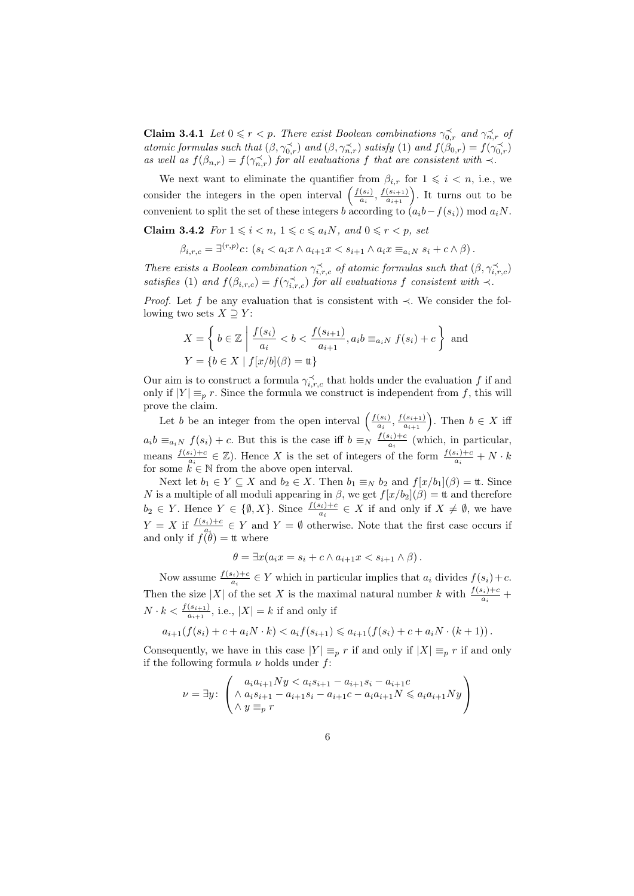**Claim 3.4.1** Let  $0 \leq r < p$ . There exist Boolean combinations  $\gamma_{0,r}^{\prec}$  and  $\gamma_{n,r}^{\prec}$  of atomic formulas such that  $(\beta, \gamma_{0,r}^{\prec})$  and  $(\beta, \gamma_{n,r}^{\prec})$  satisfy (1) and  $f(\beta_{0,r}) = f(\gamma_{0,r}^{\prec})$ as well as  $f(\beta_{n,r}) = f(\gamma_{n,r}^{\prec})$  for all evaluations f that are consistent with  $\prec$ .

We next want to eliminate the quantifier from  $\beta_{i,r}$  for  $1 \leq i \leq n$ , i.e., we consider the integers in the open interval  $\left(\frac{f(s_i)}{g_i}\right)$  $\frac{(s_i)}{a_i}, \frac{f(s_{i+1})}{a_{i+1}}\bigg$ . It turns out to be convenient to split the set of these integers b according to  $(a_i b - f(s_i)) \mod a_i N$ .

Claim 3.4.2 For  $1 \leq i \leq n$ ,  $1 \leq c \leq a_iN$ , and  $0 \leq r \leq p$ , set

$$
\beta_{i,r,c} = \exists^{(r,p)}c \colon (s_i < a_i x \land a_{i+1} x < s_{i+1} \land a_i x \equiv_{a_i N} s_i + c \land \beta).
$$

There exists a Boolean combination  $\gamma_{i,r,c}^{\prec}$  of atomic formulas such that  $(\beta, \gamma_{i,r,c}^{\prec})$ satisfies (1) and  $f(\beta_{i,r,c}) = f(\gamma_{i,r,c}^{\prec})$  for all evaluations f consistent with  $\prec$ .

*Proof.* Let f be any evaluation that is consistent with  $\prec$ . We consider the following two sets  $X \supset Y$ :

$$
X = \left\{ b \in \mathbb{Z} \mid \frac{f(s_i)}{a_i} < b < \frac{f(s_{i+1})}{a_{i+1}}, a_i b \equiv_{a_i N} f(s_i) + c \right\} \text{ and}
$$
\n
$$
Y = \left\{ b \in X \mid f[x/b](\beta) = \text{tt} \right\}
$$

Our aim is to construct a formula  $\gamma_{i,r,c}^{\prec}$  that holds under the evaluation f if and only if  $|Y| \equiv_p r$ . Since the formula we construct is independent from f, this will prove the claim.

Let b be an integer from the open interval  $\left(\frac{f(s_i)}{g_i}\right)$  $\frac{(s_i)}{a_i}, \frac{f(s_{i+1})}{a_{i+1}}\bigg)$ . Then  $b \in X$  iff  $a_i b \equiv_{a_i N} f(s_i) + c$ . But this is the case iff  $b \equiv_N \frac{f(s_i)+c}{a_i}$  $\frac{s_i}{a_i}$  (which, in particular, means  $\frac{f(s_i)+c}{a_i}$  $\frac{a_i}{a_i} \in \mathbb{Z}$ . Hence X is the set of integers of the form  $\frac{f(s_i)+c}{a_i} + N \cdot k$ for some  $\vec{k} \in \mathbb{N}$  from the above open interval.

Next let  $b_1 \in Y \subseteq X$  and  $b_2 \in X$ . Then  $b_1 \equiv_N b_2$  and  $f[x/b_1](\beta) = \text{t.t. Since}$ N is a multiple of all moduli appearing in  $\beta$ , we get  $f[x/b_2](\beta) =$  tt and therefore  $b_2 \in Y$ . Hence  $Y \in \{\emptyset, X\}$ . Since  $\frac{f(s_i)+c}{a_i} \in X$  if and only if  $X \neq \emptyset$ , we have  $Y = X$  if  $\frac{f(s_i) + c}{s_i} \in Y$  and  $Y = \emptyset$  otherwise. Note that the first case occurs if and only if  $f(\theta) =$  tt where

$$
\theta = \exists x (a_i x = s_i + c \land a_{i+1} x < s_{i+1} \land \beta).
$$

Now assume  $\frac{f(s_i)+c}{a_i} \in Y$  which in particular implies that  $a_i$  divides  $f(s_i)+c$ . Then the size |X| of the set X is the maximal natural number k with  $\frac{f(s_i)+c}{a_i}$  +  $N \cdot k < \frac{f(s_{i+1})}{a_{i+1}},$  i.e.,  $|X| = k$  if and only if

$$
a_{i+1}(f(s_i) + c + a_i N \cdot k) < a_i f(s_{i+1}) \leq a_{i+1}(f(s_i) + c + a_i N \cdot (k+1)).
$$

Consequently, we have in this case  $|Y| \equiv_p r$  if and only if  $|X| \equiv_p r$  if and only if the following formula  $\nu$  holds under f:

$$
\nu = \exists y \colon \begin{pmatrix} a_i a_{i+1} N y < a_i s_{i+1} - a_{i+1} s_i - a_{i+1} c \\ \wedge a_i s_{i+1} - a_{i+1} s_i - a_{i+1} c - a_i a_{i+1} N \leq a_i a_{i+1} N y \\ \wedge y \equiv_p r \end{pmatrix}
$$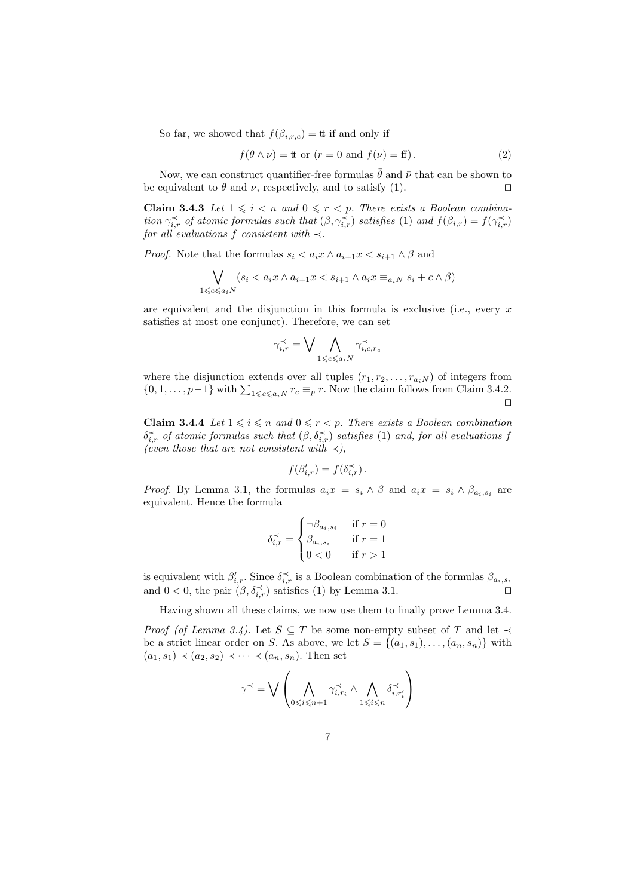So far, we showed that  $f(\beta_{i,r,c}) =$  tt if and only if

$$
f(\theta \wedge \nu) = \text{ttor} \quad (r = 0 \text{ and } f(\nu) = \text{ff}). \tag{2}
$$

Now, we can construct quantifier-free formulas  $\bar{\theta}$  and  $\bar{\nu}$  that can be shown to be equivalent to  $\theta$  and  $\nu$ , respectively, and to satisfy (1).

**Claim 3.4.3** Let  $1 \leq i \leq n$  and  $0 \leq r \leq p$ . There exists a Boolean combination  $\gamma_{i,r}^{\prec}$  of atomic formulas such that  $(\beta, \gamma_{i,r}^{\prec})$  satisfies (1) and  $f(\beta_{i,r}) = f(\gamma_{i,r}^{\prec})$ for all evaluations f consistent with  $\prec$ .

*Proof.* Note that the formulas  $s_i < a_i x \wedge a_{i+1} x < s_{i+1} \wedge \beta$  and

$$
\bigvee_{1 \leq c \leq a_i N} (s_i < a_i x \land a_{i+1} x < s_{i+1} \land a_i x \equiv_{a_i N} s_i + c \land \beta)
$$

are equivalent and the disjunction in this formula is exclusive (i.e., every  $x$ satisfies at most one conjunct). Therefore, we can set

$$
\gamma_{i,r}^{\prec} = \bigvee \bigwedge_{1 \leqslant c \leqslant a_i N} \gamma_{i,c,r_c}^{\prec}
$$

where the disjunction extends over all tuples  $(r_1, r_2, \ldots, r_{a_iN})$  of integers from  $\{0, 1, \ldots, p-1\}$  with  $\sum_{1 \leqslant c \leqslant a_i} r_c \equiv_p r$ . Now the claim follows from Claim 3.4.2.  $\Box$ 

**Claim 3.4.4** Let  $1 \leq i \leq n$  and  $0 \leq r < p$ . There exists a Boolean combination  $\delta_{i,r}^{\prec}$  of atomic formulas such that  $(\beta, \delta_{i,r}^{\prec})$  satisfies (1) and, for all evaluations f (even those that are not consistent with  $\prec$ ),

$$
f(\beta'_{i,r}) = f(\delta_{i,r}^{\prec}).
$$

*Proof.* By Lemma 3.1, the formulas  $a_i x = s_i \wedge \beta$  and  $a_i x = s_i \wedge \beta_{a_i, s_i}$  are equivalent. Hence the formula

$$
\delta_{i,r}^{\prec} = \begin{cases}\n\neg \beta_{a_i, s_i} & \text{if } r = 0 \\
\beta_{a_i, s_i} & \text{if } r = 1 \\
0 < 0 & \text{if } r > 1\n\end{cases}
$$

is equivalent with  $\beta'_{i,r}$ . Since  $\delta \xi'_{i,r}$  is a Boolean combination of the formulas  $\beta_{a_i,s_i}$ and  $0 < 0$ , the pair  $(\beta, \delta_{i,r}^{\prec})$  satisfies (1) by Lemma 3.1.

Having shown all these claims, we now use them to finally prove Lemma 3.4.

*Proof (of Lemma 3.4).* Let  $S \subseteq T$  be some non-empty subset of T and let  $\prec$ be a strict linear order on S. As above, we let  $S = \{(a_1, s_1), \ldots, (a_n, s_n)\}\$  with  $(a_1, s_1) \prec (a_2, s_2) \prec \cdots \prec (a_n, s_n)$ . Then set

$$
\gamma^{\prec} = \bigvee \left( \bigwedge_{0 \leq i \leq n+1} \gamma^{\prec}_{i,r_i} \land \bigwedge_{1 \leq i \leq n} \delta^{\prec}_{i,r'_i} \right)
$$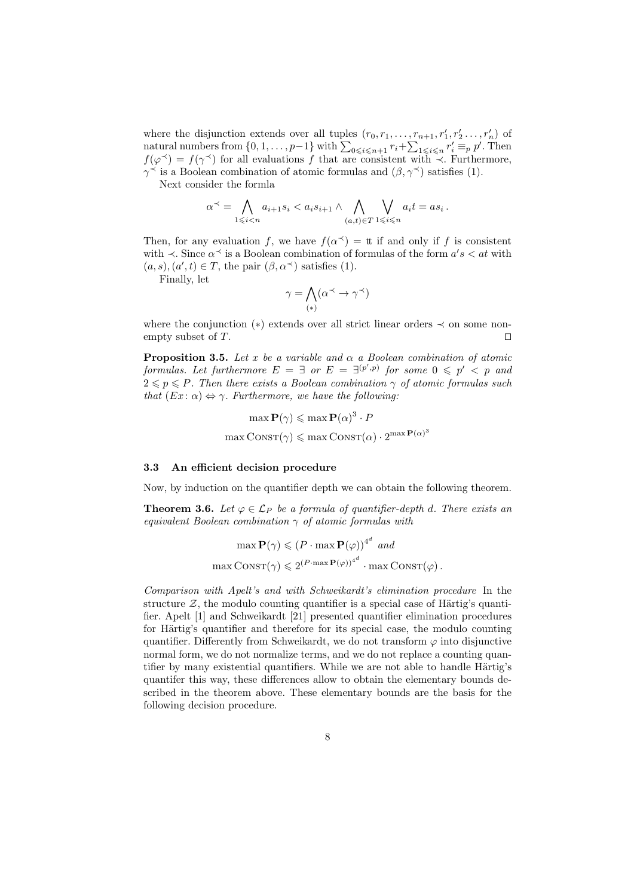where the disjunction extends over all tuples  $(r_0, r_1, \ldots, r_{n+1}, r'_1, r'_2, \ldots, r'_n)$  of natural numbers from  $\{0, 1, \ldots, p-1\}$  with  $\sum_{0 \leq i \leq n+1} r_i + \sum_{1 \leq i \leq n} r'_i \equiv_p p'.$  Then  $f(\varphi^{\prec}) = f(\gamma^{\prec})$  for all evaluations f that are consistent with  $\prec$ . Furthermore,  $\gamma^{\prec}$  is a Boolean combination of atomic formulas and  $(\beta, \gamma^{\prec})$  satisfies (1).

Next consider the formla

$$
\alpha^{\prec} = \bigwedge_{1 \leq i < n} a_{i+1} s_i < a_i s_{i+1} \land \bigwedge_{(a,t) \in T} \bigvee_{1 \leq i \leq n} a_i t = a s_i \, .
$$

Then, for any evaluation f, we have  $f(\alpha^{\prec}) =$  tt if and only if f is consistent with  $\prec$ . Since  $\alpha^{\prec}$  is a Boolean combination of formulas of the form  $a's < at$  with  $(a, s), (a', t) \in T$ , the pair  $(\beta, \alpha^{\prec})$  satisfies (1).

Finally, let

$$
\gamma = \bigwedge_{(*)} (\alpha^\prec \to \gamma^\prec)
$$

where the conjunction  $(*)$  extends over all strict linear orders  $\prec$  on some nonempty subset of T.

**Proposition 3.5.** Let x be a variable and  $\alpha$  a Boolean combination of atomic formulas. Let furthermore  $E = \exists$  or  $E = \exists^{(p',p)}$  for some  $0 \leqslant p' < p$  and  $2 \leq p \leq P$ . Then there exists a Boolean combination  $\gamma$  of atomic formulas such that  $(Ex: \alpha) \Leftrightarrow \gamma$ . Furthermore, we have the following:

$$
\max \mathbf{P}(\gamma) \le \max \mathbf{P}(\alpha)^3 \cdot P
$$

$$
\max \text{Constr}(\gamma) \le \max \text{Constr}(\alpha) \cdot 2^{\max \mathbf{P}(\alpha)^3}
$$

#### 3.3 An efficient decision procedure

Now, by induction on the quantifier depth we can obtain the following theorem.

**Theorem 3.6.** Let  $\varphi \in \mathcal{L}_P$  be a formula of quantifier-depth d. There exists an equivalent Boolean combination  $\gamma$  of atomic formulas with

$$
\max \mathbf{P}(\gamma) \leq (P \cdot \max \mathbf{P}(\varphi))^{4^d} \text{ and}
$$

$$
\max \text{CONST}(\gamma) \leq 2^{(P \cdot \max \mathbf{P}(\varphi))^{4^d}} \cdot \max \text{CONST}(\varphi).
$$

Comparison with Apelt's and with Schweikardt's elimination procedure In the structure  $Z$ , the modulo counting quantifier is a special case of Härtig's quantifier. Apelt [1] and Schweikardt [21] presented quantifier elimination procedures for Härtig's quantifier and therefore for its special case, the modulo counting quantifier. Differently from Schweikardt, we do not transform  $\varphi$  into disjunctive normal form, we do not normalize terms, and we do not replace a counting quantifier by many existential quantifiers. While we are not able to handle Härtig's quantifer this way, these differences allow to obtain the elementary bounds described in the theorem above. These elementary bounds are the basis for the following decision procedure.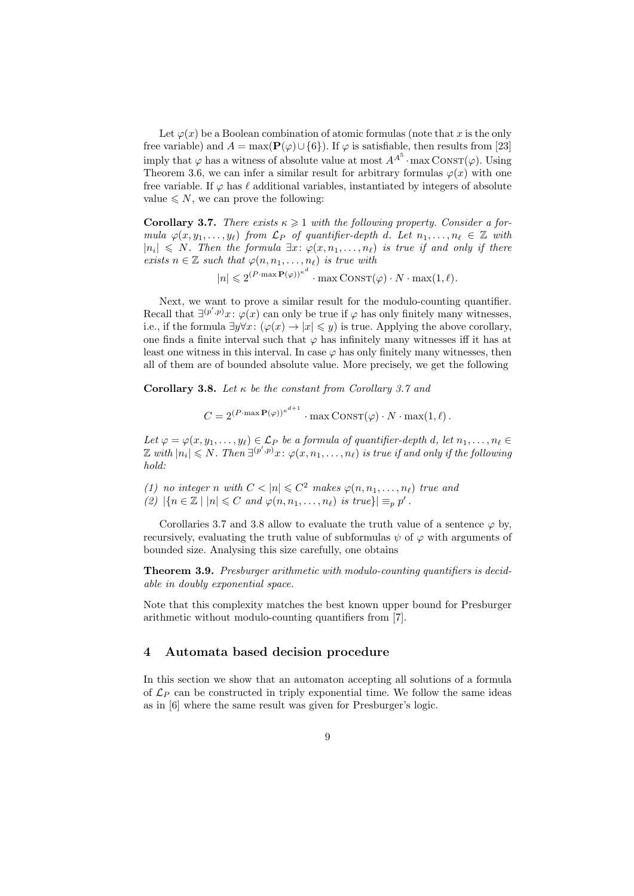Let  $\varphi(x)$  be a Boolean combination of atomic formulas (note that x is the only free variable) and  $A = \max(\mathbf{P}(\varphi) \cup \{6\})$ . If  $\varphi$  is satisfiable, then results from [23] imply that  $\varphi$  has a witness of absolute value at most  $A^{A^5}$  · max  $\text{ConvST}(\varphi)$ . Using Theorem 3.6, we can infer a similar result for arbitrary formulas  $\varphi(x)$  with one free variable. If  $\varphi$  has  $\ell$  additional variables, instantiated by integers of absolute value  $\leq N$ , we can prove the following:

**Corollary 3.7.** There exists  $\kappa \geq 1$  with the following property. Consider a formula  $\varphi(x, y_1, \ldots, y_\ell)$  from  $\mathcal{L}_P$  of quantifier-depth d. Let  $n_1, \ldots, n_\ell \in \mathbb{Z}$  with  $|n_i| \leq N$ . Then the formula  $\exists x: \varphi(x, n_1, \ldots, n_\ell)$  is true if and only if there exists  $n \in \mathbb{Z}$  such that  $\varphi(n, n_1, \ldots, n_\ell)$  is true with

 $|n| \leqslant 2^{(P \cdot \max \mathbf{P}(\varphi))^{k^d}} \cdot \max \text{Const}(\varphi) \cdot N \cdot \max(1, \ell).$ 

Next, we want to prove a similar result for the modulo-counting quantifier. Recall that  $\exists^{(p',p)}x:\varphi(x)$  can only be true if  $\varphi$  has only finitely many witnesses, i.e., if the formula  $\exists y \forall x: (\varphi(x) \to |x| \leq y)$  is true. Applying the above corollary, one finds a finite interval such that  $\varphi$  has infinitely many witnesses iff it has at least one witness in this interval. In case  $\varphi$  has only finitely many witnesses, then all of them are of bounded absolute value. More precisely, we get the following

Corollary 3.8. Let  $\kappa$  be the constant from Corollary 3.7 and

$$
C = 2^{(P \cdot \max \mathbf{P}(\varphi))^{\kappa^{d+1}}} \cdot \max \text{Const}(\varphi) \cdot N \cdot \max(1, \ell).
$$

Let  $\varphi = \varphi(x, y_1, \ldots, y_\ell) \in \mathcal{L}_P$  be a formula of quantifier-depth d, let  $n_1, \ldots, n_\ell \in$  $\mathbb Z$  with  $|n_i|\leqslant N.$  Then  $\exists^{(p',p)}x\colon \varphi(x,n_1,\ldots,n_\ell)$  is true if and only if the following hold:

(1) no integer n with  $C < |n| \leq C^2$  makes  $\varphi(n, n_1, \ldots, n_\ell)$  true and (2)  $|\{n \in \mathbb{Z} \mid |n| \leq C \text{ and } \varphi(n, n_1, \dots, n_\ell) \text{ is true}\}| \equiv_p p'$ .

Corollaries 3.7 and 3.8 allow to evaluate the truth value of a sentence  $\varphi$  by, recursively, evaluating the truth value of subformulas  $\psi$  of  $\varphi$  with arguments of bounded size. Analysing this size carefully, one obtains

Theorem 3.9. Presburger arithmetic with modulo-counting quantifiers is decidable in doubly exponential space.

Note that this complexity matches the best known upper bound for Presburger arithmetic without modulo-counting quantifiers from [7].

## 4 Automata based decision procedure

In this section we show that an automaton accepting all solutions of a formula of  $\mathcal{L}_P$  can be constructed in triply exponential time. We follow the same ideas as in [6] where the same result was given for Presburger's logic.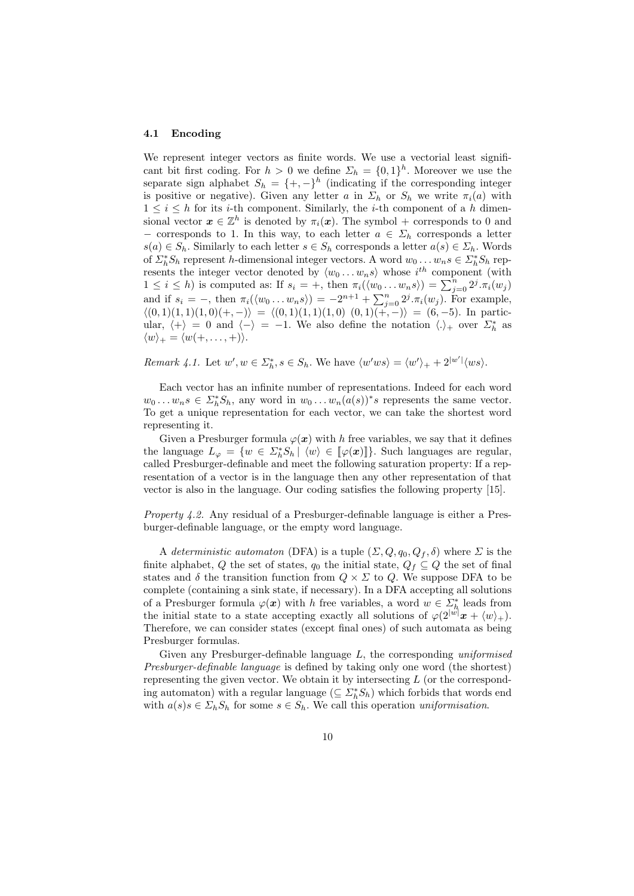#### 4.1 Encoding

We represent integer vectors as finite words. We use a vectorial least significant bit first coding. For  $h > 0$  we define  $\Sigma_h = \{0,1\}^h$ . Moreover we use the separate sign alphabet  $S_h = \{+, -\}^h$  (indicating if the corresponding integer is positive or negative). Given any letter a in  $\Sigma_h$  or  $S_h$  we write  $\pi_i(a)$  with  $1 \leq i \leq h$  for its *i*-th component. Similarly, the *i*-th component of a h dimensional vector  $\boldsymbol{x} \in \mathbb{Z}^h$  is denoted by  $\pi_i(\boldsymbol{x})$ . The symbol + corresponds to 0 and − corresponds to 1. In this way, to each letter  $a \in \Sigma_h$  corresponds a letter  $s(a) \in S_h$ . Similarly to each letter  $s \in S_h$  corresponds a letter  $a(s) \in \Sigma_h$ . Words of  $\sum_{h}^{*} S_h$  represent h-dimensional integer vectors. A word  $w_0 \dots w_n s \in \sum_{h}^{*} S_h$  represents the integer vector denoted by  $\langle w_0 \dots w_n s \rangle$  whose  $i^{th}$  component (with  $1 \leq i \leq h$ ) is computed as: If  $s_i = +$ , then  $\pi_i(\langle w_0 \dots w_n s \rangle) = \sum_{j=0}^n 2^j \cdot \pi_i(w_j)$ and if  $s_i = -$ , then  $\pi_i(\langle w_0 \dots w_n s \rangle) = -2^{n+1} + \sum_{j=0}^n 2^j \pi_i(w_j)$ . For example,  $\langle (0, 1)(1, 1)(1, 0)(+,-) \rangle = \langle (0, 1)(1, 1)(1, 0) (0, 1)(+,-) \rangle = (6, -5)$ . In particular,  $\langle + \rangle = 0$  and  $\langle - \rangle = -1$ . We also define the notation  $\langle . \rangle_+$  over  $\Sigma_h^*$  as  $\langle w \rangle_+ = \langle w(+, \ldots, +)\rangle.$ 

Remark 4.1. Let  $w', w \in \Sigma_h^*, s \in S_h$ . We have  $\langle w'ws \rangle = \langle w' \rangle_+ + 2^{|w'|} \langle ws \rangle$ .

Each vector has an infinite number of representations. Indeed for each word  $w_0 \dots w_n s \in \Sigma_h^* S_h$ , any word in  $w_0 \dots w_n (a(s))^* s$  represents the same vector. To get a unique representation for each vector, we can take the shortest word representing it.

Given a Presburger formula  $\varphi(x)$  with h free variables, we say that it defines the language  $L_{\varphi} = \{w \in \Sigma_h^* S_h | \langle w \rangle \in [\varphi(\boldsymbol{x})] \}$ . Such languages are regular, called Presburger-definable and meet the following saturation property: If a representation of a vector is in the language then any other representation of that vector is also in the language. Our coding satisfies the following property [15].

Property 4.2. Any residual of a Presburger-definable language is either a Presburger-definable language, or the empty word language.

A deterministic automaton (DFA) is a tuple  $(\Sigma, Q, q_0, Q_f, \delta)$  where  $\Sigma$  is the finite alphabet, Q the set of states,  $q_0$  the initial state,  $Q_f \subseteq Q$  the set of final states and  $\delta$  the transition function from  $Q \times \Sigma$  to  $Q$ . We suppose DFA to be complete (containing a sink state, if necessary). In a DFA accepting all solutions of a Presburger formula  $\varphi(x)$  with h free variables, a word  $w \in \Sigma_h^*$  leads from the initial state to a state accepting exactly all solutions of  $\varphi(2^{|w|}x + \langle w \rangle_+)$ . Therefore, we can consider states (except final ones) of such automata as being Presburger formulas.

Given any Presburger-definable language  $L$ , the corresponding *uniformised* Presburger-definable language is defined by taking only one word (the shortest) representing the given vector. We obtain it by intersecting  $L$  (or the corresponding automaton) with a regular language  $(\subseteq \Sigma_h^* S_h)$  which forbids that words end with  $a(s)s \in \Sigma_h S_h$  for some  $s \in S_h$ . We call this operation uniformisation.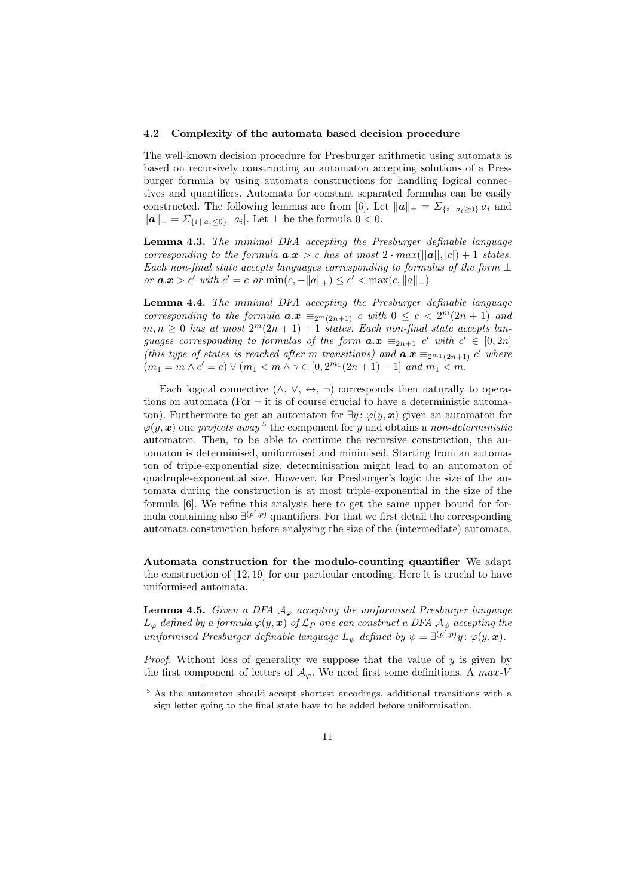#### 4.2 Complexity of the automata based decision procedure

The well-known decision procedure for Presburger arithmetic using automata is based on recursively constructing an automaton accepting solutions of a Presburger formula by using automata constructions for handling logical connectives and quantifiers. Automata for constant separated formulas can be easily constructed. The following lemmas are from [6]. Let  $||a||_+ = \sum_{\{i \mid a_i \geq 0\}} a_i$  and  $||a||_ = \sum_{i | a_i \leq 0} |a_i|$ . Let  $\perp$  be the formula  $0 < 0$ .

Lemma 4.3. The minimal DFA accepting the Presburger definable language corresponding to the formula  $a.x > c$  has at most  $2 \cdot max(||a||, |c|) + 1$  states. Each non-final state accepts languages corresponding to formulas of the form  $\perp$ or  $a.x > c'$  with  $c' = c$  or  $\min(c, -||a||_+) \le c' < \max(c, ||a||_-)$ 

Lemma 4.4. The minimal DFA accepting the Presburger definable language corresponding to the formula  $a.x \equiv_{2^m(2n+1)} c$  with  $0 \leq c < 2^m(2n+1)$  and  $m, n \geq 0$  has at most  $2^m(2n + 1) + 1$  states. Each non-final state accepts languages corresponding to formulas of the form  $a.x \equiv_{2n+1} c'$  with  $c' \in [0, 2n]$ (this type of states is reached after m transitions) and  $a.x \equiv_{2^{m_1}(2n+1)} c'$  where  $(m_1 = m \wedge c' = c) \vee (m_1 < m \wedge \gamma \in [0, 2^{m_1}(2n+1) - 1] \text{ and } m_1 < m.$ 

Each logical connective  $(\wedge, \vee, \leftrightarrow, \neg)$  corresponds then naturally to operations on automata (For  $\neg$  it is of course crucial to have a deterministic automaton). Furthermore to get an automaton for  $\exists y : \varphi(y, x)$  given an automaton for  $\varphi(y, x)$  one projects away<sup>5</sup> the component for y and obtains a non-deterministic automaton. Then, to be able to continue the recursive construction, the automaton is determinised, uniformised and minimised. Starting from an automaton of triple-exponential size, determinisation might lead to an automaton of quadruple-exponential size. However, for Presburger's logic the size of the automata during the construction is at most triple-exponential in the size of the formula [6]. We refine this analysis here to get the same upper bound for formula containing also  $\exists^{(p',p)}$  quantifiers. For that we first detail the corresponding automata construction before analysing the size of the (intermediate) automata.

Automata construction for the modulo-counting quantifier We adapt the construction of [12, 19] for our particular encoding. Here it is crucial to have uniformised automata.

**Lemma 4.5.** Given a DFA  $A_{\varphi}$  accepting the uniformised Presburger language  $L_{\varphi}$  defined by a formula  $\varphi(y, x)$  of  $\mathcal{L}_P$  one can construct a DFA  $\mathcal{A}_{\psi}$  accepting the uniformised Presburger definable language  $L_{\psi}$  defined by  $\psi = \exists^{(p',p)}y \colon \varphi(y, x)$ .

*Proof.* Without loss of generality we suppose that the value of  $y$  is given by the first component of letters of  $A_{\varphi}$ . We need first some definitions. A max-V

 $\frac{5}{5}$  As the automaton should accept shortest encodings, additional transitions with a sign letter going to the final state have to be added before uniformisation.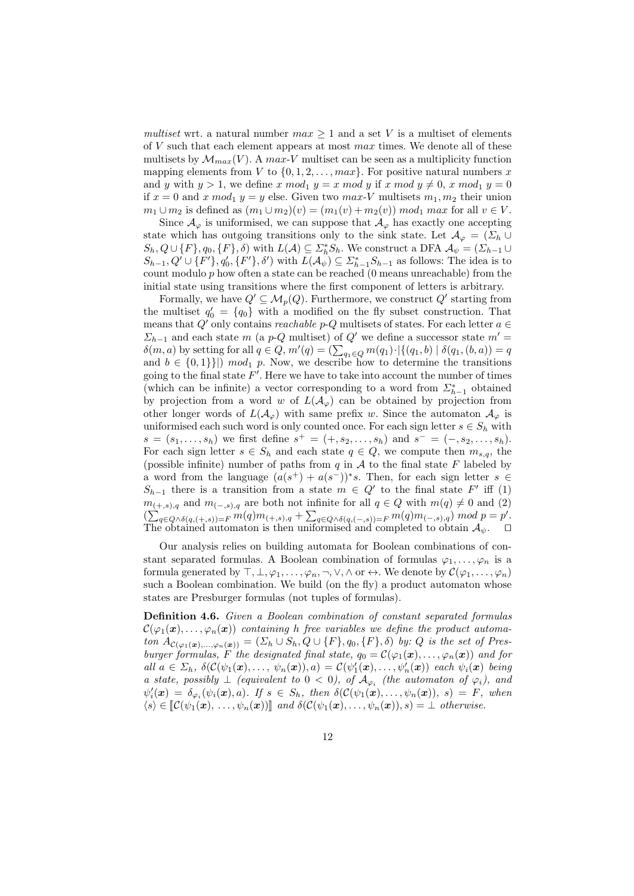multiset wrt. a natural number  $max \geq 1$  and a set V is a multiset of elements of  $V$  such that each element appears at most  $max$  times. We denote all of these multisets by  $\mathcal{M}_{max}(V)$ . A max-V multiset can be seen as a multiplicity function mapping elements from V to  $\{0, 1, 2, \ldots, \text{max}\}\$ . For positive natural numbers x and y with  $y > 1$ , we define x mod<sub>1</sub>  $y = x \mod y$  if x mod  $y \neq 0$ , x mod<sub>1</sub>  $y = 0$ if  $x = 0$  and x mod<sub>1</sub>  $y = y$  else. Given two max-V multisets  $m_1, m_2$  their union  $m_1 \cup m_2$  is defined as  $(m_1 \cup m_2)(v) = (m_1(v) + m_2(v)) \text{ mod}_1 \text{ max}$  for all  $v \in V$ .

Since  $\mathcal{A}_{\varphi}$  is uniformised, we can suppose that  $\mathcal{A}_{\varphi}$  has exactly one accepting state which has outgoing transitions only to the sink state. Let  $\mathcal{A}_{\varphi} = (\Sigma_h \cup$  $S_h, Q \cup \{F\}, q_0, \{F\}, \delta)$  with  $L(A) \subseteq \Sigma_h^* S_h$ . We construct a DFA  $\mathcal{A}_{\psi} = (\Sigma_{h-1} \cup$  $S_{h-1}, Q' \cup \{F'\}, q'_0, \{F'\}, \delta'$  with  $L(\mathcal{A}_{\psi}) \subseteq \Sigma_{h-1}^* S_{h-1}$  as follows: The idea is to count modulo  $p$  how often a state can be reached  $(0 \text{ means unreachable})$  from the initial state using transitions where the first component of letters is arbitrary.

Formally, we have  $Q' \subseteq M_p(Q)$ . Furthermore, we construct  $Q'$  starting from the multiset  $q'_0 = \{q_0\}$  with a modified on the fly subset construction. That means that  $Q'$  only contains *reachable p-Q* multisets of states. For each letter  $a \in$  $\Sigma_{h-1}$  and each state m (a p-Q multiset) of Q' we define a successor state  $m'$  =  $\delta(m, a)$  by setting for all  $q \in Q$ ,  $m'(q) = \left(\sum_{q_1 \in Q} m(q_1) \cdot \big| \{(q_1, b) \mid \delta(q_1, (b, a)) = q\right)$ and  $b \in \{0,1\}\}\)$  mod<sub>1</sub> p. Now, we describe how to determine the transitions going to the final state  $F'$ . Here we have to take into account the number of times (which can be infinite) a vector corresponding to a word from  $\mathcal{L}_{h-1}^{*}$  obtained by projection from a word w of  $L(\mathcal{A}_{\varphi})$  can be obtained by projection from other longer words of  $L(\mathcal{A}_{\varphi})$  with same prefix w. Since the automaton  $\mathcal{A}_{\varphi}$  is uniformised each such word is only counted once. For each sign letter  $s \in S_h$  with  $s = (s_1, \ldots, s_h)$  we first define  $s^+ = (+, s_2, \ldots, s_h)$  and  $s^- = (-, s_2, \ldots, s_h)$ . For each sign letter  $s \in S_h$  and each state  $q \in Q$ , we compute then  $m_{s,q}$ , the (possible infinite) number of paths from  $q$  in  $A$  to the final state  $F$  labeled by a word from the language  $(a(s^+)+a(s^-))^*s$ . Then, for each sign letter  $s \in$  $S_{h-1}$  there is a transition from a state  $m \in Q'$  to the final state  $F'$  iff (1)  $m_{(+,s),q}$  and  $m_{(-,s),q}$  are both not infinite for all  $q \in Q$  with  $m(q) \neq 0$  and  $(2)$  $(\sum_{q\in Q\wedge \delta(q,(+,s))=F} m(q)m_{(+,s),q} + \sum_{q\in Q\wedge \delta(q,(-,s))=F} m(q)m_{(-,s),q}) \mod p = p'.$ The obtained automaton is then uniformised and completed to obtain  $\mathcal{A}_{\psi}$ .  $\square$ 

Our analysis relies on building automata for Boolean combinations of constant separated formulas. A Boolean combination of formulas  $\varphi_1, \ldots, \varphi_n$  is a formula generated by  $\top, \bot, \varphi_1, \ldots, \varphi_n, \neg, \vee, \wedge$  or  $\leftrightarrow$ . We denote by  $\mathcal{C}(\varphi_1, \ldots, \varphi_n)$ such a Boolean combination. We build (on the fly) a product automaton whose states are Presburger formulas (not tuples of formulas).

Definition 4.6. Given a Boolean combination of constant separated formulas  $\mathcal{C}(\varphi_1(\bm{x}), \ldots, \varphi_n(\bm{x}))$  containing h free variables we define the product automaton  $A_{\mathcal{C}(\varphi_1(\boldsymbol{x}),\ldots,\varphi_n(\boldsymbol{x}))} = (\varSigma_h \cup S_h, Q \cup \{F\}, q_0, \{F\}, \delta)$  by: Q is the set of Presburger formulas, F the designated final state,  $q_0 = \mathcal{C}(\varphi_1(\boldsymbol{x}), \ldots, \varphi_n(\boldsymbol{x}))$  and for all  $a \in \Sigma_h$ ,  $\delta(\mathcal{C}(\psi_1(\boldsymbol{x}), \ldots, \psi_n(\boldsymbol{x})), a) = \mathcal{C}(\psi'_1(\boldsymbol{x}), \ldots, \psi'_n(\boldsymbol{x}))$  each  $\psi_i(\boldsymbol{x})$  being a state, possibly  $\perp$  (equivalent to  $0 < 0$ ), of  $\mathcal{A}_{\varphi_i}$  (the automaton of  $\varphi_i$ ), and  $\psi'_i(\boldsymbol{x}) = \delta_{\varphi_i}(\psi_i(\boldsymbol{x}), a)$ . If  $s \in S_h$ , then  $\delta(\mathcal{C}(\psi_1(\boldsymbol{x}), \dots, \psi_n(\boldsymbol{x})), s) = F$ , when  $\langle s \rangle \in \mathcal{C}(\psi_1(\boldsymbol{x}), \ldots, \psi_n(\boldsymbol{x}))$  and  $\delta(\mathcal{C}(\psi_1(\boldsymbol{x}), \ldots, \psi_n(\boldsymbol{x})), s) = \bot$  otherwise.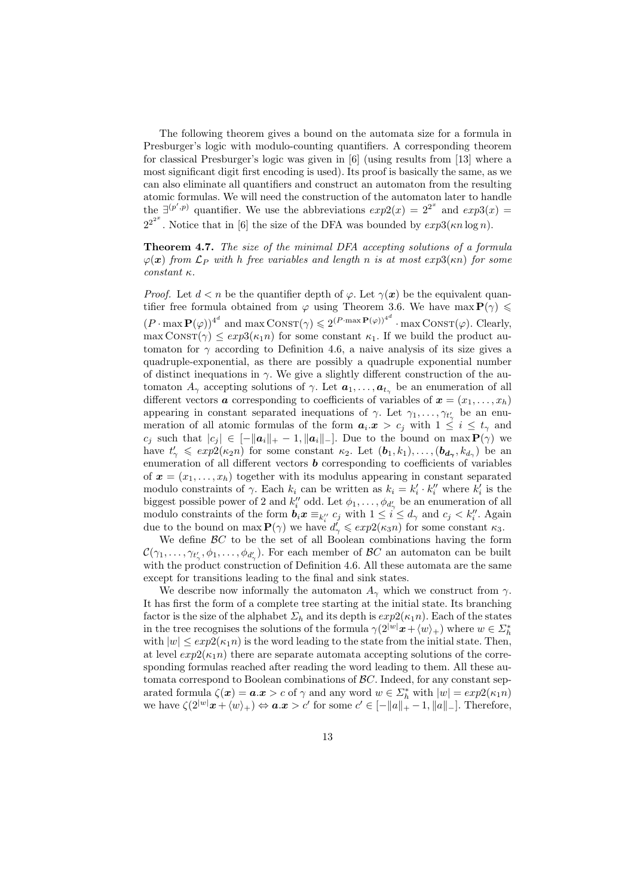The following theorem gives a bound on the automata size for a formula in Presburger's logic with modulo-counting quantifiers. A corresponding theorem for classical Presburger's logic was given in [6] (using results from [13] where a most significant digit first encoding is used). Its proof is basically the same, as we can also eliminate all quantifiers and construct an automaton from the resulting atomic formulas. We will need the construction of the automaton later to handle the  $\exists^{(p',p)}$  quantifier. We use the abbreviations  $exp2(x) = 2^{2^x}$  and  $exp3(x) =$  $2^{2^{2^x}}$ . Notice that in [6] the size of the DFA was bounded by  $exp3(\kappa n \log n)$ .

Theorem 4.7. The size of the minimal DFA accepting solutions of a formula  $\varphi(\bm{x})$  from  $\mathcal{L}_P$  with h free variables and length n is at most exp3( $\kappa n$ ) for some constant κ.

*Proof.* Let  $d < n$  be the quantifier depth of  $\varphi$ . Let  $\gamma(x)$  be the equivalent quantifier free formula obtained from  $\varphi$  using Theorem 3.6. We have max  $P(\gamma) \leq$  $(P \cdot \max P(\varphi))^{4^d}$  and  $\max \text{ConST}(\gamma) \leqslant 2^{(P \cdot \max P(\varphi))^{4^d}} \cdot \max \text{ConST}(\varphi)$ . Clearly,  $\max \text{Cons}(\gamma) \leq exp3(\kappa_1 n)$  for some constant  $\kappa_1$ . If we build the product automaton for  $\gamma$  according to Definition 4.6, a naive analysis of its size gives a quadruple-exponential, as there are possibly a quadruple exponential number of distinct inequations in  $\gamma$ . We give a slightly different construction of the automaton  $A_{\gamma}$  accepting solutions of  $\gamma$ . Let  $a_1, \ldots, a_{t_{\gamma}}$  be an enumeration of all different vectors **a** corresponding to coefficients of variables of  $\mathbf{x} = (x_1, \ldots, x_h)$ appearing in constant separated inequations of  $\gamma$ . Let  $\gamma_1, \ldots, \gamma_{t'_{\gamma}}$  be an enumeration of all atomic formulas of the form  $a_i \cdot x > c_j$  with  $1 \leq i \leq t_\gamma$  and c<sub>i</sub> such that  $|c_j| \in \left[-\|\boldsymbol{a}_i\|_+ - 1, \|\boldsymbol{a}_i\|_-\right]$ . Due to the bound on max  $\mathbf{P}(\gamma)$  we have  $t'_{\gamma} \leqslant exp^{2}(\kappa_{2} n)$  for some constant  $\kappa_{2}$ . Let  $(b_{1}, k_{1}), \ldots, (b_{d_{\gamma}}, k_{d_{\gamma}})$  be an enumeration of all different vectors  **corresponding to coefficients of variables** of  $\mathbf{x} = (x_1, \ldots, x_h)$  together with its modulus appearing in constant separated modulo constraints of  $\gamma$ . Each  $k_i$  can be written as  $k_i = k'_i \cdot k''_i$  where  $k'_i$  is the biggest possible power of 2 and  $k_i''$  odd. Let  $\phi_1, \ldots, \phi_{d'_\gamma}$  be an enumeration of all modulo constraints of the form  $\mathbf{b}_i \mathbf{x} \equiv_{k_i''} c_j$  with  $1 \leq i \leq d_\gamma$  and  $c_j < k_i''$ . Again due to the bound on max  $P(\gamma)$  we have  $d'_{\gamma} \leqslant exp(2(\kappa_3 n))$  for some constant  $\kappa_3$ .

We define  $\mathcal{B}C$  to be the set of all Boolean combinations having the form  $\mathcal{C}(\gamma_1,\ldots,\gamma_{t'_{\gamma}},\phi_1,\ldots,\phi_{d'_{\gamma}})$ . For each member of  $\mathcal{B}C$  an automaton can be built with the product construction of Definition 4.6. All these automata are the same except for transitions leading to the final and sink states.

We describe now informally the automaton  $A_{\gamma}$  which we construct from  $\gamma$ . It has first the form of a complete tree starting at the initial state. Its branching factor is the size of the alphabet  $\Sigma_h$  and its depth is  $exp2(\kappa_1 n)$ . Each of the states in the tree recognises the solutions of the formula  $\gamma(2^{|w|}\mathbf{x} + \langle w \rangle_+)$  where  $w \in \Sigma_h^*$ with  $|w| \leq exp(1/\kappa_1 n)$  is the word leading to the state from the initial state. Then, at level  $exp2(\kappa_1 n)$  there are separate automata accepting solutions of the corresponding formulas reached after reading the word leading to them. All these automata correspond to Boolean combinations of  $\mathcal{B}C$ . Indeed, for any constant separated formula  $\zeta(x) = a.x > c$  of  $\gamma$  and any word  $w \in \sum_{h}^{*}$  with  $|w| = exp(2(\kappa_1 n))$ we have  $\zeta(2^{|w|}\boldsymbol{x} + \langle w \rangle_+) \Leftrightarrow \boldsymbol{a}.\boldsymbol{x} > c'$  for some  $c' \in [-\|a\|_+ - 1, \|a\|_-].$  Therefore,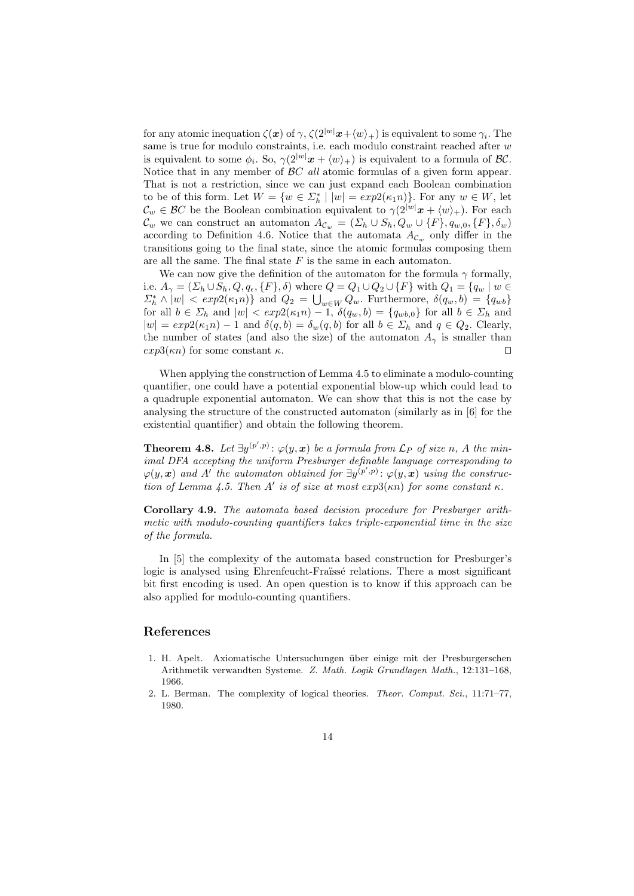for any atomic inequation  $\zeta(x)$  of  $\gamma$ ,  $\zeta(2^{|w|}\mathbf{x}+\langle w\rangle_+)$  is equivalent to some  $\gamma_i$ . The same is true for modulo constraints, i.e. each modulo constraint reached after w is equivalent to some  $\phi_i$ . So,  $\gamma(2^{|w|}\mathbf{x} + \langle w \rangle_+)$  is equivalent to a formula of  $\mathcal{BC}$ . Notice that in any member of  $\beta C$  all atomic formulas of a given form appear. That is not a restriction, since we can just expand each Boolean combination to be of this form. Let  $W = \{w \in \Sigma_h^* \mid |w| = exp(0.64n)\}\)$ . For any  $w \in W$ , let  $\mathcal{C}_w \in \mathcal{B}C$  be the Boolean combination equivalent to  $\gamma(2^{|w|}\boldsymbol{x} + \langle w \rangle_+)$ . For each  $\mathcal{C}_w$  we can construct an automaton  $A_{\mathcal{C}_w} = (\Sigma_h \cup S_h, Q_w \cup \{F\}, q_{w,0}, \{F\}, \delta_w)$ according to Definition 4.6. Notice that the automata  $A_{\mathcal{C}_w}$  only differ in the transitions going to the final state, since the atomic formulas composing them are all the same. The final state  $F$  is the same in each automaton.

We can now give the definition of the automaton for the formula  $\gamma$  formally, i.e.  $A_{\gamma} = (\Sigma_h \cup S_h, Q, q_\epsilon, \{F\}, \delta)$  where  $Q = Q_1 \cup Q_2 \cup \{F\}$  with  $Q_1 = \{q_w \mid w \in$  $\sum_{k=1}^{\infty} \wedge |w| < exp(2(\kappa_1 n))$  and  $Q_2 = \bigcup_{w \in W} Q_w$ . Furthermore,  $\delta(q_w, b) = \{q_{wb}\}$ for all  $b \in \Sigma_h$  and  $|w| < exp(2(\kappa_1 n) - 1, \delta(q_w, b) = \{q_{wb,0}\}\)$  for all  $b \in \Sigma_h$  and  $|w| = exp(6\kappa_1 n) - 1$  and  $\delta(q, b) = \delta_w(q, b)$  for all  $b \in \Sigma_h$  and  $q \in Q_2$ . Clearly, the number of states (and also the size) of the automaton  $A_{\gamma}$  is smaller than  $exp3(\kappa n)$  for some constant  $\kappa$ .

When applying the construction of Lemma 4.5 to eliminate a modulo-counting quantifier, one could have a potential exponential blow-up which could lead to a quadruple exponential automaton. We can show that this is not the case by analysing the structure of the constructed automaton (similarly as in [6] for the existential quantifier) and obtain the following theorem.

**Theorem 4.8.** Let  $\exists y^{(p',p)} : \varphi(y, x)$  be a formula from  $\mathcal{L}_P$  of size n, A the minimal DFA accepting the uniform Presburger definable language corresponding to  $\varphi(y, x)$  and A' the automaton obtained for  $\exists y^{(p', p)} : \varphi(y, x)$  using the construction of Lemma 4.5. Then A' is of size at most  $exp3(\kappa n)$  for some constant  $\kappa$ .

Corollary 4.9. The automata based decision procedure for Presburger arithmetic with modulo-counting quantifiers takes triple-exponential time in the size of the formula.

In [5] the complexity of the automata based construction for Presburger's logic is analysed using Ehrenfeucht-Fraüssé relations. There a most significant bit first encoding is used. An open question is to know if this approach can be also applied for modulo-counting quantifiers.

#### References

- 1. H. Apelt. Axiomatische Untersuchungen über einige mit der Presburgerschen Arithmetik verwandten Systeme. Z. Math. Logik Grundlagen Math., 12:131–168, 1966.
- 2. L. Berman. The complexity of logical theories. Theor. Comput. Sci., 11:71–77, 1980.